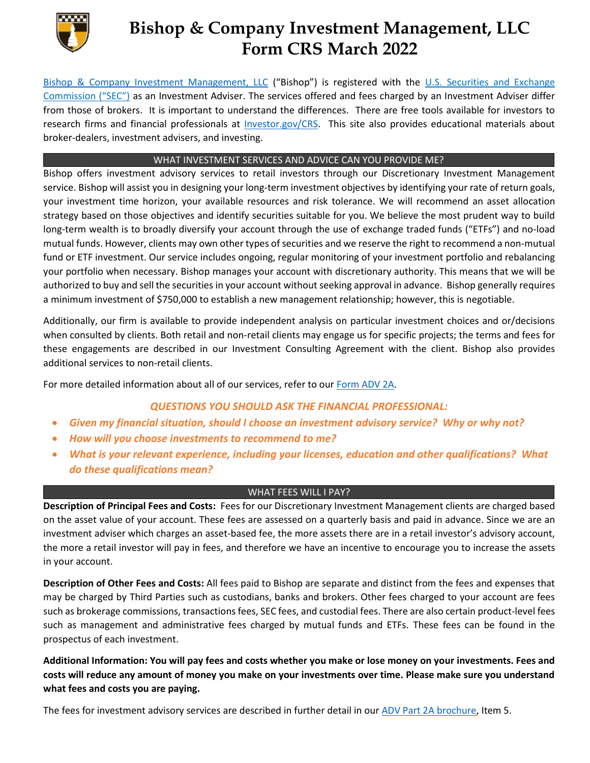

## **Bishop & Company Investment Management, LLC Form CRS March 2022**

[Bishop & Company Investment Management, LLC](https://bishopinvestmentmanagement.com/) ("Bishop") is registered with the [U.S. Securities and Exchange](http://www.sec.gov/)  [Commission \("SEC"\)](http://www.sec.gov/) as an Investment Adviser. The services offered and fees charged by an Investment Adviser differ from those of brokers. It is important to understand the differences. There are free tools available for investors to research firms and financial professionals at [Investor.gov/CRS.](https://www.investor.gov/CRS) This site also provides educational materials about broker-dealers, investment advisers, and investing.

## WHAT INVESTMENT SERVICES AND ADVICE CAN YOU PROVIDE ME?

Bishop offers investment advisory services to retail investors through our Discretionary Investment Management service. Bishop will assist you in designing your long-term investment objectives by identifying your rate of return goals, your investment time horizon, your available resources and risk tolerance. We will recommend an asset allocation strategy based on those objectives and identify securities suitable for you. We believe the most prudent way to build long-term wealth is to broadly diversify your account through the use of exchange traded funds ("ETFs") and no-load mutual funds. However, clients may own other types of securities and we reserve the right to recommend a non-mutual fund or ETF investment. Our service includes ongoing, regular monitoring of your investment portfolio and rebalancing your portfolio when necessary. Bishop manages your account with discretionary authority. This means that we will be authorized to buy and sell the securities in your account without seeking approval in advance. Bishop generally requires a minimum investment of \$750,000 to establish a new management relationship; however, this is negotiable.

Additionally, our firm is available to provide independent analysis on particular investment choices and or/decisions when consulted by clients. Both retail and non-retail clients may engage us for specific projects; the terms and fees for these engagements are described in our Investment Consulting Agreement with the client. Bishop also provides additional services to non-retail clients.

For more detailed information about all of our services, refer to our [Form ADV 2A.](https://files.adviserinfo.sec.gov/IAPD/Content/Common/crd_iapd_Brochure.aspx?BRCHR_VRSN_ID=625514)

## *QUESTIONS YOU SHOULD ASK THE FINANCIAL PROFESSIONAL:*

- *Given my financial situation, should I choose an investment advisory service? Why or why not?*
- *How will you choose investments to recommend to me?*
- *What is your relevant experience, including your licenses, education and other qualifications? What do these qualifications mean?*

## WHAT FEES WILL I PAY?

**Description of Principal Fees and Costs:** Fees for our Discretionary Investment Management clients are charged based on the asset value of your account. These fees are assessed on a quarterly basis and paid in advance. Since we are an investment adviser which charges an asset-based fee, the more assets there are in a retail investor's advisory account, the more a retail investor will pay in fees, and therefore we have an incentive to encourage you to increase the assets in your account.

**Description of Other Fees and Costs:** All fees paid to Bishop are separate and distinct from the fees and expenses that may be charged by Third Parties such as custodians, banks and brokers. Other fees charged to your account are fees such as brokerage commissions, transactions fees, SEC fees, and custodial fees. There are also certain product-level fees such as management and administrative fees charged by mutual funds and ETFs. These fees can be found in the prospectus of each investment.

**Additional Information: You will pay fees and costs whether you make or lose money on your investments. Fees and costs will reduce any amount of money you make on your investments over time. Please make sure you understand what fees and costs you are paying.**

The fees for investment advisory services are described in further detail in our [ADV Part 2A brochure,](https://files.adviserinfo.sec.gov/IAPD/Content/Common/crd_iapd_Brochure.aspx?BRCHR_VRSN_ID=625514) Item 5.